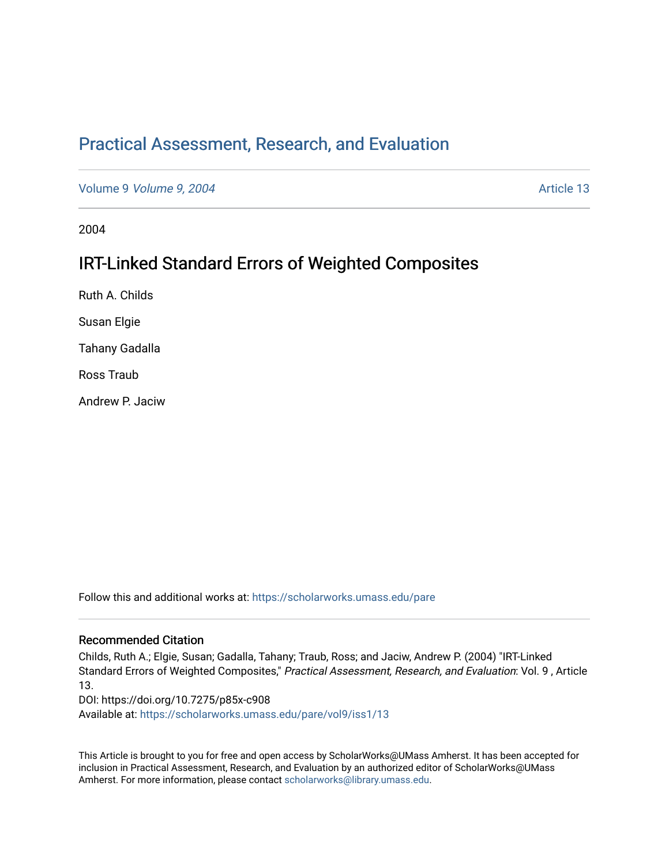# [Practical Assessment, Research, and Evaluation](https://scholarworks.umass.edu/pare)

Volume 9 *Volume 9, 2004* Article 13

2004

# IRT-Linked Standard Errors of Weighted Composites

Ruth A. Childs

Susan Elgie

Tahany Gadalla

Ross Traub

Andrew P. Jaciw

Follow this and additional works at: [https://scholarworks.umass.edu/pare](https://scholarworks.umass.edu/pare?utm_source=scholarworks.umass.edu%2Fpare%2Fvol9%2Fiss1%2F13&utm_medium=PDF&utm_campaign=PDFCoverPages) 

#### Recommended Citation

Childs, Ruth A.; Elgie, Susan; Gadalla, Tahany; Traub, Ross; and Jaciw, Andrew P. (2004) "IRT-Linked Standard Errors of Weighted Composites," Practical Assessment, Research, and Evaluation: Vol. 9 , Article 13.

DOI: https://doi.org/10.7275/p85x-c908

Available at: [https://scholarworks.umass.edu/pare/vol9/iss1/13](https://scholarworks.umass.edu/pare/vol9/iss1/13?utm_source=scholarworks.umass.edu%2Fpare%2Fvol9%2Fiss1%2F13&utm_medium=PDF&utm_campaign=PDFCoverPages)

This Article is brought to you for free and open access by ScholarWorks@UMass Amherst. It has been accepted for inclusion in Practical Assessment, Research, and Evaluation by an authorized editor of ScholarWorks@UMass Amherst. For more information, please contact [scholarworks@library.umass.edu](mailto:scholarworks@library.umass.edu).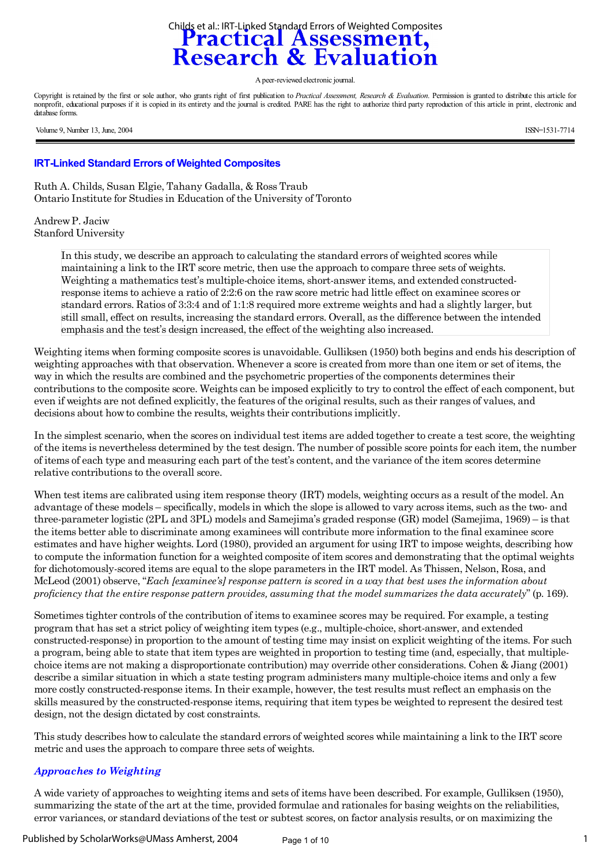# Childs et al.: IRT-Linked Standard Errors of Weighted Composites<br> **Practical Assessment,<br>
Research & Evaluation**

A peer-reviewed electronic journal.

Copyright is retained by the first or sole author, who grants right of first publication to *Practical Assessment, Research & Evaluation*. Permission is granted to distribute this article for nonprofit, educational purposes if it is copied in its entirety and the journal is credited. PARE has the right to authorize third party reproduction of this article in print, electronic and database forms.

Volume 9, Number 13, June, 2004 **ISSN=1531-7714** 

#### **IRT-Linked Standard Errors of Weighted Composites**

Ruth A. Childs, Susan Elgie, Tahany Gadalla, & Ross Traub Ontario Institute for Studies in Education of the University of Toronto

Andrew P. Jaciw Stanford University

> In this study, we describe an approach to calculating the standard errors of weighted scores while maintaining a link to the IRT score metric, then use the approach to compare three sets of weights. Weighting a mathematics test's multiple-choice items, short-answer items, and extended constructedresponse items to achieve a ratio of 2:2:6 on the raw score metric had little effect on examinee scores or standard errors. Ratios of 3:3:4 and of 1:1:8 required more extreme weights and had a slightly larger, but still small, effect on results, increasing the standard errors. Overall, as the difference between the intended emphasis and the test's design increased, the effect of the weighting also increased.

Weighting items when forming composite scores is unavoidable. Gulliksen (1950) both begins and ends his description of weighting approaches with that observation. Whenever a score is created from more than one item or set of items, the way in which the results are combined and the psychometric properties of the components determines their contributions to the composite score. Weights can be imposed explicitly to try to control the effect of each component, but even if weights are not defined explicitly, the features of the original results, such as their ranges of values, and decisions about how to combine the results, weights their contributions implicitly.

In the simplest scenario, when the scores on individual test items are added together to create a test score, the weighting of the items is nevertheless determined by the test design. The number of possible score points for each item, the number of items of each type and measuring each part of the test's content, and the variance of the item scores determine relative contributions to the overall score.

When test items are calibrated using item response theory (IRT) models, weighting occurs as a result of the model. An advantage of these models – specifically, models in which the slope is allowed to vary across items, such as the two- and three-parameter logistic (2PL and 3PL) models and Samejima's graded response (GR) model (Samejima, 1969) – is that the items better able to discriminate among examinees will contribute more information to the final examinee score estimates and have higher weights. Lord (1980), provided an argument for using IRT to impose weights, describing how to compute the information function for a weighted composite of item scores and demonstrating that the optimal weights for dichotomously-scored items are equal to the slope parameters in the IRT model. As Thissen, Nelson, Rosa, and McLeod (2001) observe, "*Each [examinee's] response pattern is scored in a way that best uses the information about proficiency that the entire response pattern provides, assuming that the model summarizes the data accurately*" (p. 169).

Sometimes tighter controls of the contribution of items to examinee scores may be required. For example, a testing program that has set a strict policy of weighting item types (e.g., multiple-choice, short-answer, and extended constructed-response) in proportion to the amount of testing time may insist on explicit weighting of the items. For such a program, being able to state that item types are weighted in proportion to testing time (and, especially, that multiplechoice items are not making a disproportionate contribution) may override other considerations. Cohen & Jiang (2001) describe a similar situation in which a state testing program administers many multiple-choice items and only a few more costly constructed-response items. In their example, however, the test results must reflect an emphasis on the skills measured by the constructed-response items, requiring that item types be weighted to represent the desired test design, not the design dictated by cost constraints.

This study describes how to calculate the standard errors of weighted scores while maintaining a link to the IRT score metric and uses the approach to compare three sets of weights.

# *Approaches to Weighting*

A wide variety of approaches to weighting items and sets of items have been described. For example, Gulliksen (1950), summarizing the state of the art at the time, provided formulae and rationales for basing weights on the reliabilities, error variances, or standard deviations of the test or subtest scores, on factor analysis results, or on maximizing the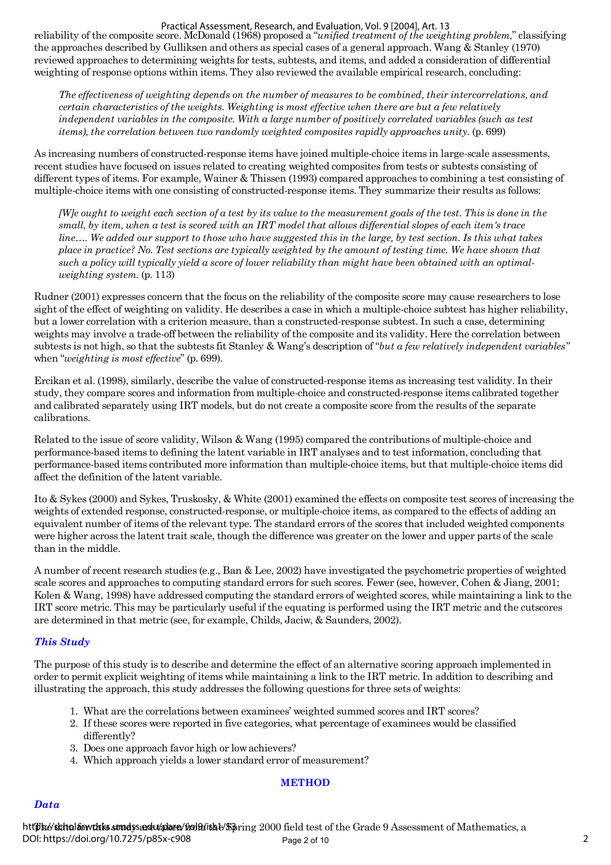#### Practical Assessment, Research, and Evaluation, Vol. 9 [2004], Art. 13

reliability of the composite score. McDonald (1968) proposed a "*unified treatment of the weighting problem,*" classifying the approaches described by Gulliksen and others as special cases of a general approach. Wang & Stanley (1970) reviewed approaches to determining weights for tests, subtests, and items, and added a consideration of differential weighting of response options within items. They also reviewed the available empirical research, concluding:

*The effectiveness of weighting depends on the number of measures to be combined, their intercorrelations, and certain characteristics of the weights. Weighting is most effective when there are but a few relatively independent variables in the composite. With a large number of positively correlated variables (such as test items), the correlation between two randomly weighted composites rapidly approaches unity.* (p. 699)

As increasing numbers of constructed-response items have joined multiple-choice items in large-scale assessments, recent studies have focused on issues related to creating weighted composites from tests or subtests consisting of different types of items. For example, Wainer & Thissen (1993) compared approaches to combining a test consisting of multiple-choice items with one consisting of constructed-response items. They summarize their results as follows:

*[W]e ought to weight each section of a test by its value to the measurement goals of the test. This is done in the small, by item, when a test is scored with an IRT model that allows differential slopes of each item's trace line…. We added our support to those who have suggested this in the large, by test section. Is this what takes place in practice? No. Test sections are typically weighted by the amount of testing time. We have shown that such a policy will typically yield a score of lower reliability than might have been obtained with an optimalweighting system.* (p. 113)

Rudner (2001) expresses concern that the focus on the reliability of the composite score may cause researchers to lose sight of the effect of weighting on validity. He describes a case in which a multiple-choice subtest has higher reliability, but a lower correlation with a criterion measure, than a constructed-response subtest. In such a case, determining weights may involve a trade-off between the reliability of the composite and its validity. Here the correlation between subtests is not high, so that the subtests fit Stanley & Wang's description of "*but a few relatively independent variables"* when "*weighting is most effective*" (p. 699).

Ercikan et al. (1998), similarly, describe the value of constructed-response items as increasing test validity. In their study, they compare scores and information from multiple-choice and constructed-response items calibrated together and calibrated separately using IRT models, but do not create a composite score from the results of the separate calibrations.

Related to the issue of score validity, Wilson & Wang (1995) compared the contributions of multiple-choice and performance-based items to defining the latent variable in IRT analyses and to test information, concluding that performance-based items contributed more information than multiple-choice items, but that multiple-choice items did affect the definition of the latent variable.

Ito & Sykes (2000) and Sykes, Truskosky, & White (2001) examined the effects on composite test scores of increasing the weights of extended response, constructed-response, or multiple-choice items, as compared to the effects of adding an equivalent number of items of the relevant type. The standard errors of the scores that included weighted components were higher across the latent trait scale, though the difference was greater on the lower and upper parts of the scale than in the middle.

A number of recent research studies (e.g., Ban & Lee, 2002) have investigated the psychometric properties of weighted scale scores and approaches to computing standard errors for such scores. Fewer (see, however, Cohen & Jiang, 2001; Kolen & Wang, 1998) have addressed computing the standard errors of weighted scores, while maintaining a link to the IRT score metric. This may be particularly useful if the equating is performed using the IRT metric and the cutscores are determined in that metric (see, for example, Childs, Jaciw, & Saunders, 2002).

# *This Study*

The purpose of this study is to describe and determine the effect of an alternative scoring approach implemented in order to permit explicit weighting of items while maintaining a link to the IRT metric. In addition to describing and illustrating the approach, this study addresses the following questions for three sets of weights:

- 1. What are the correlations between examinees' weighted summed scores and IRT scores?
- 2. If these scores were reported in five categories, what percentage of examinees would be classified differently?
- 3. Does one approach favor high or low achievers?
- 4. Which approach yields a lower standard error of measurement?

#### **METHOD**

#### *Data*

https://schalsowthis.stmdss.adu/plare/frol9/itsbl/\$pring 2000 field test of the Grade 9 Assessment of Mathematics, a Page 2 of 10 2 DOI: https://doi.org/10.7275/p85x-c908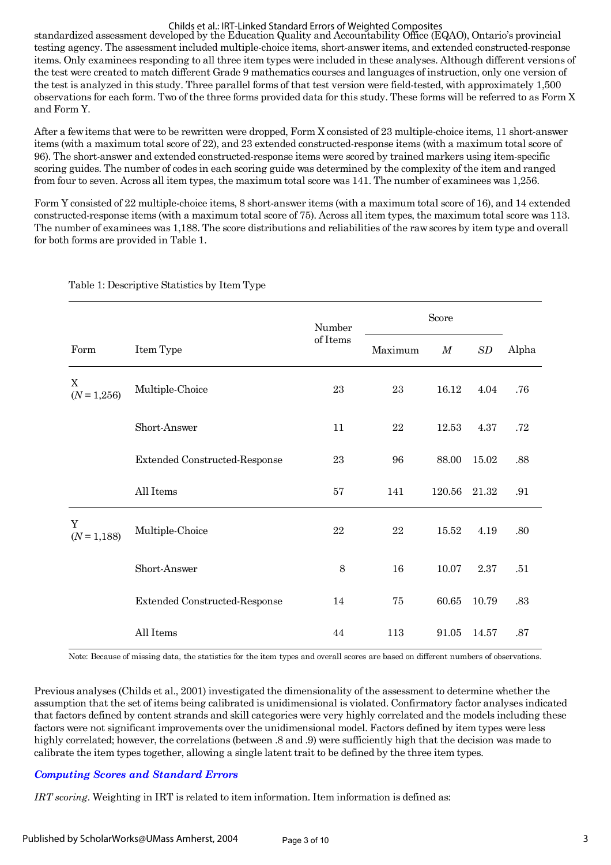#### Childs et al.: IRT-Linked Standard Errors of Weighted Composites

standardized assessment developed by the Education Quality and Accountability Office (EQAO), Ontario's provincial testing agency. The assessment included multiple-choice items, short-answer items, and extended constructed-response items. Only examinees responding to all three item types were included in these analyses. Although different versions of the test were created to match different Grade 9 mathematics courses and languages of instruction, only one version of the test is analyzed in this study. Three parallel forms of that test version were field-tested, with approximately 1,500 observations for each form. Two of the three forms provided data for this study. These forms will be referred to as Form X and Form Y.

After a few items that were to be rewritten were dropped, Form X consisted of 23 multiple-choice items, 11 short-answer items (with a maximum total score of 22), and 23 extended constructed-response items (with a maximum total score of 96). The short-answer and extended constructed-response items were scored by trained markers using item-specific scoring guides. The number of codes in each scoring guide was determined by the complexity of the item and ranged from four to seven. Across all item types, the maximum total score was 141. The number of examinees was 1,256.

Form Y consisted of 22 multiple-choice items, 8 short-answer items (with a maximum total score of 16), and 14 extended constructed-response items (with a maximum total score of 75). Across all item types, the maximum total score was 113. The number of examinees was 1,188. The score distributions and reliabilities of the raw scores by item type and overall for both forms are provided in Table 1.

|                    |                                      | Number   |         | Score    |       |       |  |
|--------------------|--------------------------------------|----------|---------|----------|-------|-------|--|
| Form               | Item Type                            | of Items | Maximum | $\cal M$ | SD    | Alpha |  |
| X<br>$(N = 1,256)$ | Multiple-Choice                      | 23       | 23      | 16.12    | 4.04  | .76   |  |
|                    | Short-Answer                         | 11       | 22      | 12.53    | 4.37  | .72   |  |
|                    | Extended Constructed-Response        | 23       | 96      | 88.00    | 15.02 | .88   |  |
|                    | All Items                            | $57\,$   | 141     | 120.56   | 21.32 | .91   |  |
| Y<br>$(N = 1,188)$ | Multiple-Choice                      | 22       | 22      | 15.52    | 4.19  | .80   |  |
|                    | Short-Answer                         | 8        | 16      | 10.07    | 2.37  | .51   |  |
|                    | <b>Extended Constructed-Response</b> | 14       | 75      | 60.65    | 10.79 | .83   |  |
|                    | All Items                            | 44       | 113     | 91.05    | 14.57 | .87   |  |

Table 1: Descriptive Statistics by Item Type

Note: Because of missing data, the statistics for the item types and overall scores are based on different numbers of observations.

Previous analyses (Childs et al., 2001) investigated the dimensionality of the assessment to determine whether the assumption that the set of items being calibrated is unidimensional is violated. Confirmatory factor analyses indicated that factors defined by content strands and skill categories were very highly correlated and the models including these factors were not significant improvements over the unidimensional model. Factors defined by item types were less highly correlated; however, the correlations (between .8 and .9) were sufficiently high that the decision was made to calibrate the item types together, allowing a single latent trait to be defined by the three item types.

# *Computing Scores and Standard Errors*

*IRT scoring.* Weighting in IRT is related to item information. Item information is defined as: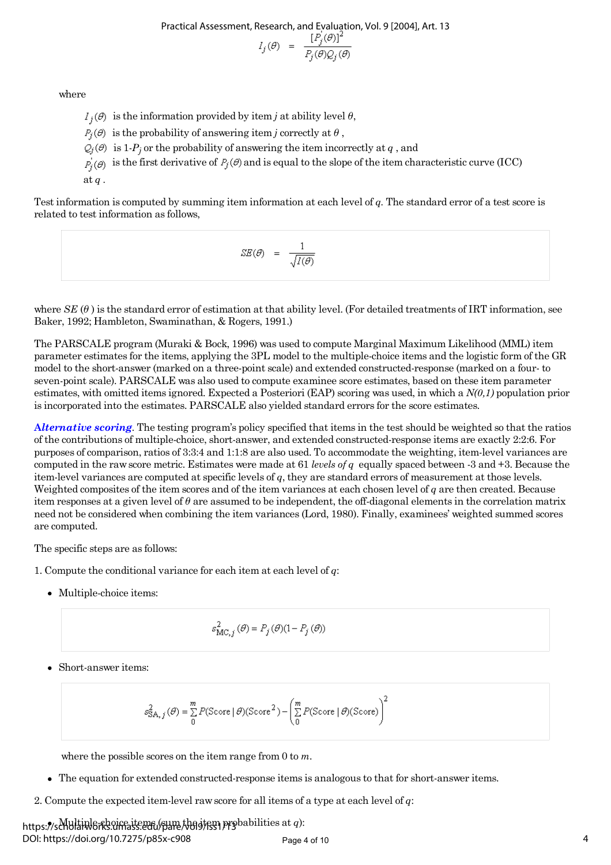Practical Assessment, Research, and Evaluation, Vol. 9 [2004], Art. 13

$$
l_j(\theta) = \frac{[P_j(\theta)]^2}{P_j(\theta)Q_j(\theta)}
$$

where

 $I_i(\theta)$  is the information provided by item *j* at ability level  $\theta$ ,

 $P_i(\theta)$  is the probability of answering item *j* correctly at  $\theta$ ,

is  $1\hbox{-} P_j$  or the probability of answering the item incorrectly at  $q$  , and

 $P_i(\theta)$  is the first derivative of  $P_j(\theta)$  and is equal to the slope of the item characteristic curve (ICC)

at *q .*

Test information is computed by summing item information at each level of *q.* The standard error of a test score is related to test information as follows,

$$
SE(\theta) = \frac{1}{\sqrt{I(\theta)}}
$$

where  $SE(\theta)$  is the standard error of estimation at that ability level. (For detailed treatments of IRT information, see Baker, 1992; Hambleton, Swaminathan, & Rogers, 1991.)

The PARSCALE program (Muraki & Bock, 1996) was used to compute Marginal Maximum Likelihood (MML) item parameter estimates for the items, applying the 3PL model to the multiple-choice items and the logistic form of the GR model to the short-answer (marked on a three-point scale) and extended constructed-response (marked on a four- to seven-point scale). PARSCALE was also used to compute examinee score estimates, based on these item parameter estimates, with omitted items ignored. Expected a Posteriori (EAP) scoring was used, in which a *N(0,1)* population prior is incorporated into the estimates. PARSCALE also yielded standard errors for the score estimates.

**A***lternative scoring.* The testing program's policy specified that items in the test should be weighted so that the ratios of the contributions of multiple-choice, short-answer, and extended constructed-response items are exactly 2:2:6. For purposes of comparison, ratios of 3:3:4 and 1:1:8 are also used. To accommodate the weighting, item-level variances are computed in the raw score metric. Estimates were made at 61 *levels of q* equally spaced between -3 and +3. Because the item-level variances are computed at specific levels of *q*, they are standard errors of measurement at those levels. Weighted composites of the item scores and of the item variances at each chosen level of *q* are then created. Because item responses at a given level of *θ* are assumed to be independent, the off-diagonal elements in the correlation matrix need not be considered when combining the item variances (Lord, 1980). Finally, examinees' weighted summed scores are computed.

The specific steps are as follows:

1. Compute the conditional variance for each item at each level of *q*:

• Multiple-choice items:

$$
s_{\text{MC},j}^{2}(\theta) = P_{j}(\theta)(1 - P_{j}(\theta))
$$

Short-answer items:

$$
s_{\text{SA},j}^{2}(\theta) = \sum_{0}^{m} P(\text{Score} \mid \theta)(\text{Score}^{2}) - \left(\sum_{0}^{m} P(\text{Score} \mid \theta)(\text{Score})\right)^{2}
$$

where the possible scores on the item range from 0 to *m*.

- The equation for extended constructed-response items is analogous to that for short-answer items.
- 2. Compute the expected item-level raw score for all items of a type at each level of *q*:

https://scholarworks.umass.edu/pare/bogiesn.probabilities at *q*): DOI: https://doi.org/10.7275/p85x-c908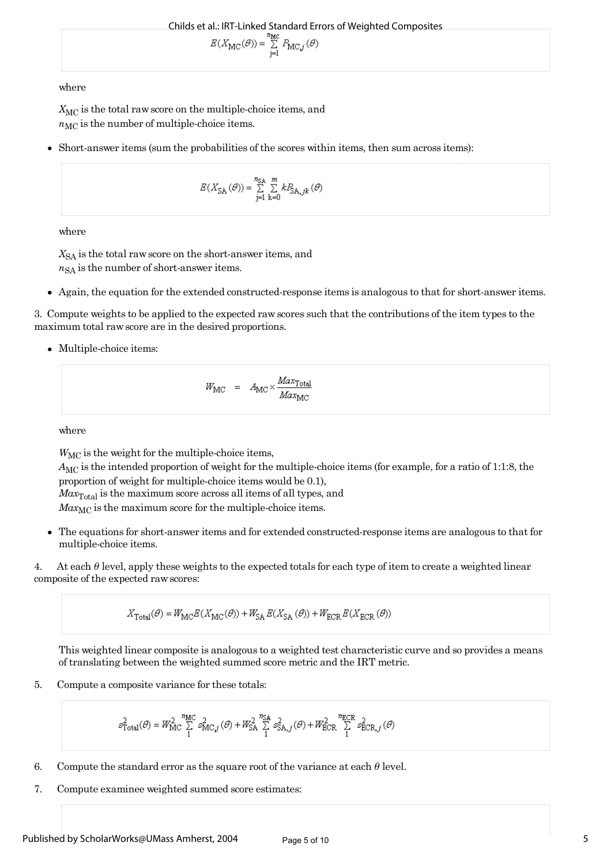$$
E(X_{\mathrm{MC}}(\theta)) = \mathop{\textstyle \sum}_{j=1}^{n_{\mathrm{MC}}} P_{\mathrm{MC},j}(\theta)
$$

where

X<sub>MC</sub> is the total raw score on the multiple-choice items, and  $n_{MC}$  is the number of multiple-choice items.

Short-answer items (sum the probabilities of the scores within items, then sum across items):

$$
E(X_{\text{SA}}(\mathcal{O})) = \textstyle\sum\limits_{\mathclap{j=1}}^{n_{\text{SA}}} \textstyle\sum\limits_{k=0}^{m} k P_{\text{SA},jk} \left(\mathcal{O}\right)
$$

where

 $X_{SA}$  is the total raw score on the short-answer items, and  $n_{SA}$  is the number of short-answer items.

Again, the equation for the extended constructed-response items is analogous to that for short-answer items.

3. Compute weights to be applied to the expected raw scores such that the contributions of the item types to the maximum total raw score are in the desired proportions.

• Multiple-choice items:

$$
W_{\text{MC}} = A_{\text{MC}} \times \frac{Max_{\text{Total}}}{Max_{\text{MC}}}
$$

where

*W*MC is the weight for the multiple-choice items,

*A*MC is the intended proportion of weight for the multiple-choice items (for example, for a ratio of 1:1:8, the proportion of weight for multiple-choice items would be 0.1),  $Max<sub>Total</sub>$  is the maximum score across all items of all types, and  $Max_{MC}$  is the maximum score for the multiple-choice items.

The equations for short-answer items and for extended constructed-response items are analogous to that for multiple-choice items.

4. At each *θ* level, apply these weights to the expected totals for each type of item to create a weighted linear composite of the expected raw scores:

$$
X_{\rm Total}(\theta) = W_{\rm MC} E(X_{\rm MC}(\theta)) + W_{\rm SA} E(X_{\rm SA}(\theta)) + W_{\rm ECR} E(X_{\rm ECR}(\theta))
$$

This weighted linear composite is analogous to a weighted test characteristic curve and so provides a means of translating between the weighted summed score metric and the IRT metric.

5. Compute a composite variance for these totals:

$$
\mathcal{S}^2_{\mathrm{Total}}(\mathcal{O}) = W^2_{\mathrm{MC}} \mathop{\textstyle \sum}_{1}^{n_{\mathrm{MC}}} \mathcal{S}^2_{\mathrm{MC},j}(\mathcal{O}) + W^2_{\mathrm{SA}} \mathop{\textstyle \sum}_{1}^{n_{\mathrm{SA}}} \mathcal{S}^2_{\mathrm{SA},j}(\mathcal{O}) + W^2_{\mathrm{ECR}} \mathop{\textstyle \sum}_{1}^{n_{\mathrm{ECR}}} \mathcal{S}^2_{\mathrm{ECR},j}(\mathcal{O})
$$

- 6. Compute the standard error as the square root of the variance at each *θ* level.
- 7. Compute examinee weighted summed score estimates: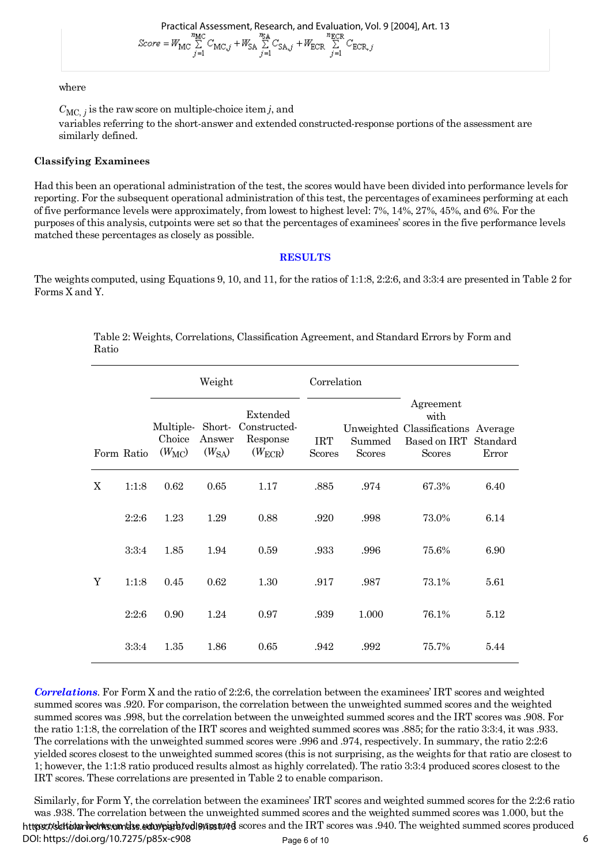Practical Assessment, Research, and Evaluation, Vol. 9 [2004], Art. 13<br>  $Score = W_{MC} \sum_{j=1}^{m_{MC}} C_{MC,j} + W_{SA} \sum_{j=1}^{m_{\overline{LC}}} C_{SA,j} + W_{ECR} \sum_{j=1}^{m_{ECR}} C_{ECR,j}$ 

#### where

 $C_{MC, j}$  is the raw score on multiple-choice item *j*, and variables referring to the short-answer and extended constructed-response portions of the assessment are similarly defined.

#### **Classifying Examinees**

Had this been an operational administration of the test, the scores would have been divided into performance levels for reporting. For the subsequent operational administration of this test, the percentages of examinees performing at each of five performance levels were approximately, from lowest to highest level: 7%, 14%, 27%, 45%, and 6%. For the purposes of this analysis, cutpoints were set so that the percentages of examinees' scores in the five performance levels matched these percentages as closely as possible.

#### **RESULTS**

The weights computed, using Equations 9, 10, and 11, for the ratios of 1:1:8, 2:2:6, and 3:3:4 are presented in Table 2 for Forms X and Y.

|   | Weight     |                                         |                      | Correlation                                                |                             |                         |                                                                                          |                   |
|---|------------|-----------------------------------------|----------------------|------------------------------------------------------------|-----------------------------|-------------------------|------------------------------------------------------------------------------------------|-------------------|
|   | Form Ratio | Multiple-Short-<br>Choice<br>$(W_{MC})$ | Answer<br>$(W_{SA})$ | Extended<br>Constructed-<br>Response<br>$(W_{\text{ECR}})$ | <b>IRT</b><br><b>Scores</b> | Summed<br><b>Scores</b> | Agreement<br>with<br>Unweighted Classifications Average<br>Based on IRT<br><b>Scores</b> | Standard<br>Error |
| X | 1:1:8      | 0.62                                    | 0.65                 | 1.17                                                       | .885                        | .974                    | 67.3%                                                                                    | 6.40              |
|   | 2:2:6      | 1.23                                    | 1.29                 | 0.88                                                       | .920                        | .998                    | 73.0%                                                                                    | 6.14              |
|   | 3:3:4      | 1.85                                    | 1.94                 | 0.59                                                       | .933                        | .996                    | 75.6%                                                                                    | 6.90              |
| Y | 1:1:8      | 0.45                                    | 0.62                 | 1.30                                                       | .917                        | .987                    | 73.1%                                                                                    | 5.61              |
|   | 2:2:6      | 0.90                                    | 1.24                 | 0.97                                                       | .939                        | 1.000                   | 76.1%                                                                                    | 5.12              |
|   | 3:3:4      | 1.35                                    | 1.86                 | 0.65                                                       | .942                        | .992                    | 75.7%                                                                                    | 5.44              |

Table 2: Weights, Correlations, Classification Agreement, and Standard Errors by Form and Ratio

*Correlations.* For Form X and the ratio of 2:2:6, the correlation between the examinees' IRT scores and weighted summed scores was .920. For comparison, the correlation between the unweighted summed scores and the weighted summed scores was .998, but the correlation between the unweighted summed scores and the IRT scores was .908. For the ratio 1:1:8, the correlation of the IRT scores and weighted summed scores was .885; for the ratio 3:3:4, it was .933. The correlations with the unweighted summed scores were .996 and .974, respectively. In summary, the ratio 2:2:6 yielded scores closest to the unweighted summed scores (this is not surprising, as the weights for that ratio are closest to 1; however, the 1:1:8 ratio produced results almost as highly correlated). The ratio 3:3:4 produced scores closest to the IRT scores. These correlations are presented in Table 2 to enable comparison.

Similarly, for Form Y, the correlation between the examinees' IRT scores and weighted summed scores for the 2:2:6 ratio was .938. The correlation between the unweighted summed scores and the weighted summed scores was 1.000, but the https://skationarhetrics.com/diss.edu/pigret/edi9/iss11/4d scores and the IRT scores was .940. The weighted summed scores produced Page 6 of 10  $\qquad \qquad$  6 DOI: https://doi.org/10.7275/p85x-c908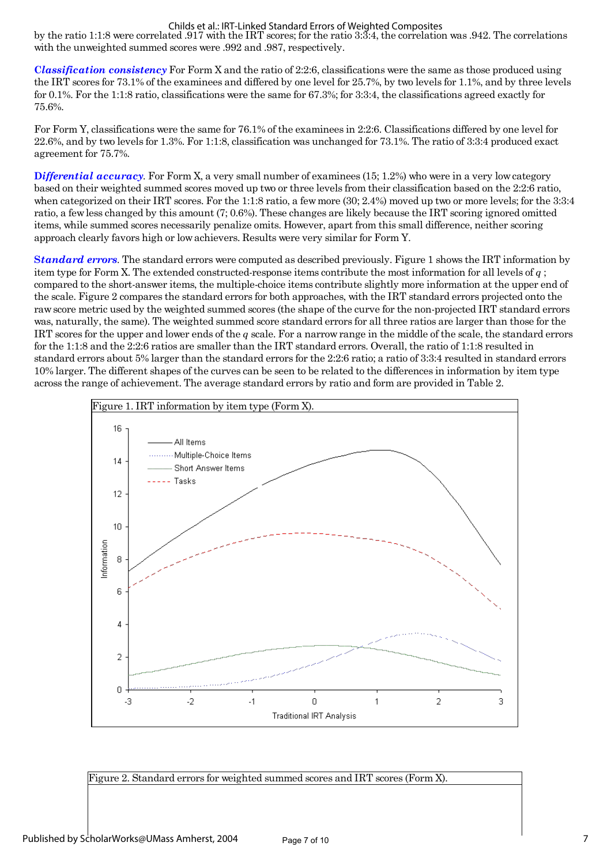#### Childs et al.: IRT-Linked Standard Errors of Weighted Composites

by the ratio 1:1:8 were correlated .917 with the IRT scores; for the ratio 3:3:4, the correlation was .942. The correlations with the unweighted summed scores were .992 and .987, respectively.

**C***lassification consistency* For Form X and the ratio of 2:2:6, classifications were the same as those produced using the IRT scores for 73.1% of the examinees and differed by one level for 25.7%, by two levels for 1.1%, and by three levels for 0.1%. For the 1:1:8 ratio, classifications were the same for 67.3%; for 3:3:4, the classifications agreed exactly for 75.6%.

For Form Y, classifications were the same for 76.1% of the examinees in 2:2:6. Classifications differed by one level for 22.6%, and by two levels for 1.3%. For 1:1:8, classification was unchanged for 73.1%. The ratio of 3:3:4 produced exact agreement for 75.7%.

**D***ifferential accuracy.* For Form X, a very small number of examinees (15; 1.2%) who were in a very low category based on their weighted summed scores moved up two or three levels from their classification based on the 2:2:6 ratio, when categorized on their IRT scores. For the 1:1:8 ratio, a few more (30; 2.4%) moved up two or more levels; for the 3:3:4 ratio, a few less changed by this amount (7; 0.6%). These changes are likely because the IRT scoring ignored omitted items, while summed scores necessarily penalize omits. However, apart from this small difference, neither scoring approach clearly favors high or low achievers. Results were very similar for Form Y.

**S***tandard errors.* The standard errors were computed as described previously. Figure 1 shows the IRT information by item type for Form X. The extended constructed-response items contribute the most information for all levels of *q* ; compared to the short-answer items, the multiple-choice items contribute slightly more information at the upper end of the scale. Figure 2 compares the standard errors for both approaches, with the IRT standard errors projected onto the raw score metric used by the weighted summed scores (the shape of the curve for the non-projected IRT standard errors was, naturally, the same). The weighted summed score standard errors for all three ratios are larger than those for the IRT scores for the upper and lower ends of the *q* scale. For a narrow range in the middle of the scale, the standard errors for the 1:1:8 and the 2:2:6 ratios are smaller than the IRT standard errors. Overall, the ratio of 1:1:8 resulted in standard errors about 5% larger than the standard errors for the 2:2:6 ratio; a ratio of 3:3:4 resulted in standard errors 10% larger. The different shapes of the curves can be seen to be related to the differences in information by item type across the range of achievement. The average standard errors by ratio and form are provided in Table 2.



Figure 2. Standard errors for weighted summed scores and IRT scores (Form X).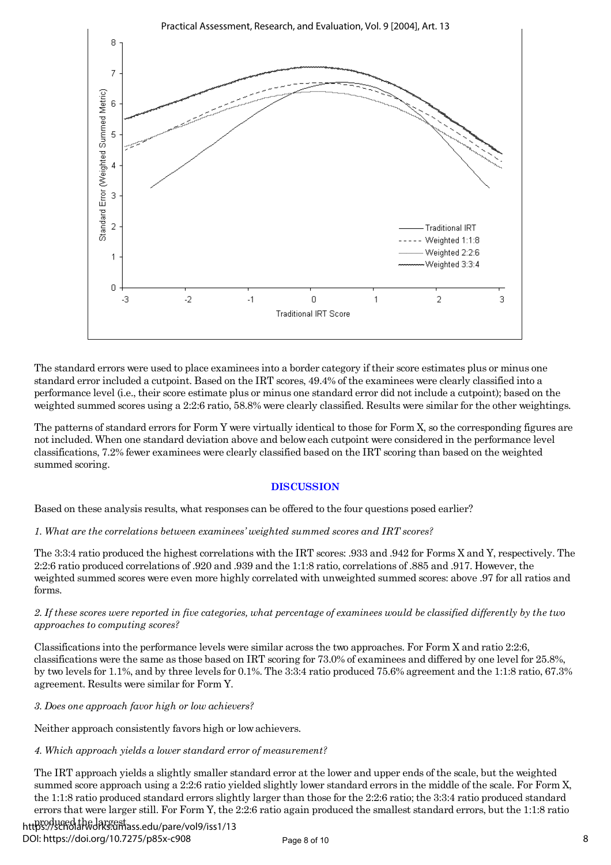

The standard errors were used to place examinees into a border category if their score estimates plus or minus one standard error included a cutpoint. Based on the IRT scores, 49.4% of the examinees were clearly classified into a performance level (i.e., their score estimate plus or minus one standard error did not include a cutpoint); based on the weighted summed scores using a 2:2:6 ratio, 58.8% were clearly classified. Results were similar for the other weightings.

The patterns of standard errors for Form Y were virtually identical to those for Form X, so the corresponding figures are not included. When one standard deviation above and below each cutpoint were considered in the performance level classifications, 7.2% fewer examinees were clearly classified based on the IRT scoring than based on the weighted summed scoring.

# **DISCUSSION**

Based on these analysis results, what responses can be offered to the four questions posed earlier?

*1. What are the correlations between examinees' weighted summed scores and IRT scores?*

The 3:3:4 ratio produced the highest correlations with the IRT scores: .933 and .942 for Forms X and Y, respectively. The 2:2:6 ratio produced correlations of .920 and .939 and the 1:1:8 ratio, correlations of .885 and .917. However, the weighted summed scores were even more highly correlated with unweighted summed scores: above .97 for all ratios and forms.

### *2. If these scores were reported in five categories, what percentage of examinees would be classified differently by the two approaches to computing scores?*

Classifications into the performance levels were similar across the two approaches. For Form X and ratio 2:2:6, classifications were the same as those based on IRT scoring for 73.0% of examinees and differed by one level for 25.8%, by two levels for 1.1%, and by three levels for 0.1%. The 3:3:4 ratio produced 75.6% agreement and the 1:1:8 ratio, 67.3% agreement. Results were similar for Form Y.

*3. Does one approach favor high or low achievers?*

Neither approach consistently favors high or low achievers.

# *4. Which approach yields a lower standard error of measurement?*

The IRT approach yields a slightly smaller standard error at the lower and upper ends of the scale, but the weighted summed score approach using a 2:2:6 ratio yielded slightly lower standard errors in the middle of the scale. For Form X, the 1:1:8 ratio produced standard errors slightly larger than those for the 2:2:6 ratio; the 3:3:4 ratio produced standard errors that were larger still. For Form Y, the 2:2:6 ratio again produced the smallest standard errors, but the 1:1:8 ratio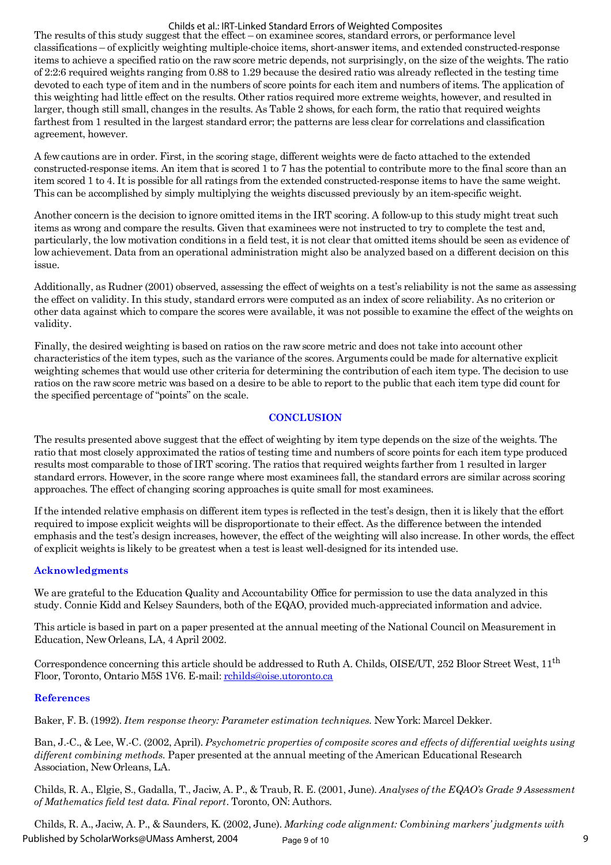#### Childs et al.: IRT-Linked Standard Errors of Weighted Composites

The results of this study suggest that the effect – on examinee scores, standard errors, or performance level classifications – of explicitly weighting multiple-choice items, short-answer items, and extended constructed-response items to achieve a specified ratio on the raw score metric depends, not surprisingly, on the size of the weights. The ratio of 2:2:6 required weights ranging from 0.88 to 1.29 because the desired ratio was already reflected in the testing time devoted to each type of item and in the numbers of score points for each item and numbers of items. The application of this weighting had little effect on the results. Other ratios required more extreme weights, however, and resulted in larger, though still small, changes in the results. As Table 2 shows, for each form, the ratio that required weights farthest from 1 resulted in the largest standard error; the patterns are less clear for correlations and classification agreement, however.

A few cautions are in order. First, in the scoring stage, different weights were de facto attached to the extended constructed-response items. An item that is scored 1 to 7 has the potential to contribute more to the final score than an item scored 1 to 4. It is possible for all ratings from the extended constructed-response items to have the same weight. This can be accomplished by simply multiplying the weights discussed previously by an item-specific weight.

Another concern is the decision to ignore omitted items in the IRT scoring. A follow-up to this study might treat such items as wrong and compare the results. Given that examinees were not instructed to try to complete the test and, particularly, the low motivation conditions in a field test, it is not clear that omitted items should be seen as evidence of low achievement. Data from an operational administration might also be analyzed based on a different decision on this issue.

Additionally, as Rudner (2001) observed, assessing the effect of weights on a test's reliability is not the same as assessing the effect on validity. In this study, standard errors were computed as an index of score reliability. As no criterion or other data against which to compare the scores were available, it was not possible to examine the effect of the weights on validity.

Finally, the desired weighting is based on ratios on the raw score metric and does not take into account other characteristics of the item types, such as the variance of the scores. Arguments could be made for alternative explicit weighting schemes that would use other criteria for determining the contribution of each item type. The decision to use ratios on the raw score metric was based on a desire to be able to report to the public that each item type did count for the specified percentage of "points" on the scale.

#### **CONCLUSION**

The results presented above suggest that the effect of weighting by item type depends on the size of the weights. The ratio that most closely approximated the ratios of testing time and numbers of score points for each item type produced results most comparable to those of IRT scoring. The ratios that required weights farther from 1 resulted in larger standard errors. However, in the score range where most examinees fall, the standard errors are similar across scoring approaches. The effect of changing scoring approaches is quite small for most examinees.

If the intended relative emphasis on different item types is reflected in the test's design, then it is likely that the effort required to impose explicit weights will be disproportionate to their effect. As the difference between the intended emphasis and the test's design increases, however, the effect of the weighting will also increase. In other words, the effect of explicit weights is likely to be greatest when a test is least well-designed for its intended use.

# **Acknowledgments**

We are grateful to the Education Quality and Accountability Office for permission to use the data analyzed in this study. Connie Kidd and Kelsey Saunders, both of the EQAO, provided much-appreciated information and advice.

This article is based in part on a paper presented at the annual meeting of the National Council on Measurement in Education, New Orleans, LA, 4 April 2002.

Correspondence concerning this article should be addressed to Ruth A. Childs, OISE/UT, 252 Bloor Street West,  $11<sup>th</sup>$ Floor, Toronto, Ontario M5S 1V6. E-mail: [rchilds@oise.utoronto.ca](mailto:rchilds@oise.utoronto.ca)

#### **References**

Baker, F. B. (1992). *Item response theory: Parameter estimation techniques.* New York: Marcel Dekker.

Ban, J.-C., & Lee, W.-C. (2002, April). *Psychometric properties of composite scores and effects of differential weights using different combining methods.* Paper presented at the annual meeting of the American Educational Research Association, New Orleans, LA.

Childs, R. A., Elgie, S., Gadalla, T., Jaciw, A. P., & Traub, R. E. (2001, June). *Analyses of the EQAO's Grade 9 Assessment of Mathematics field test data. Final report*. Toronto, ON: Authors.

Childs, R. A., Jaciw, A. P., & Saunders, K. (2002, June). *Marking code alignment: Combining markers' judgments with* Page 9 of 10 9 Published by ScholarWorks@UMass Amherst, 2004